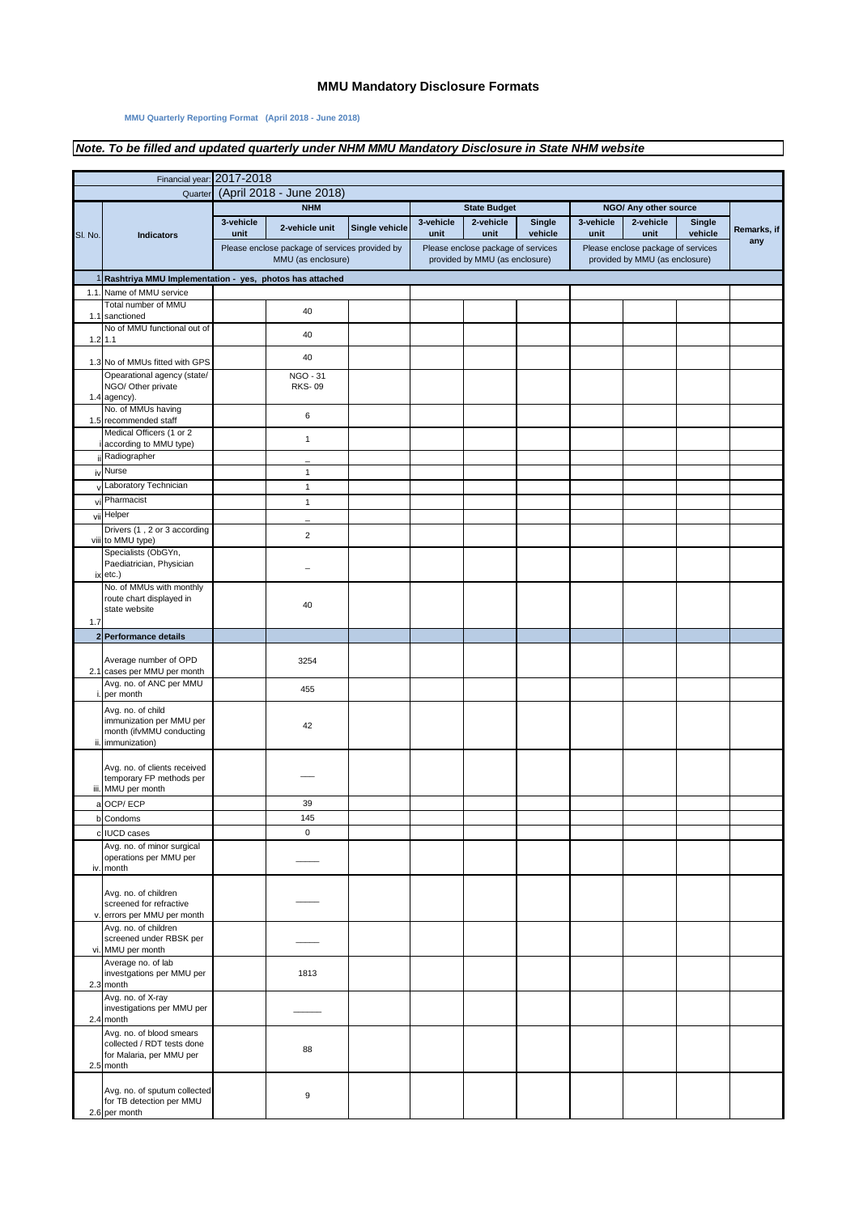## **MMU Mandatory Disclosure Formats**

## **MMU Quarterly Reporting Format (April 2018 - June 2018)**

## *Note. To be filled and updated quarterly under NHM MMU Mandatory Disclosure in State NHM website*

|         | Financial year: 2017-2018                                     |                         |                                                |                |                                                                |                                    |         |                                                           |                                    |         |             |
|---------|---------------------------------------------------------------|-------------------------|------------------------------------------------|----------------|----------------------------------------------------------------|------------------------------------|---------|-----------------------------------------------------------|------------------------------------|---------|-------------|
| Quarter |                                                               |                         | (April 2018 - June 2018)                       |                |                                                                |                                    |         |                                                           |                                    |         |             |
|         |                                                               | <b>NHM</b><br>3-vehicle |                                                |                | <b>State Budget</b><br>3-vehicle<br>2-vehicle<br><b>Single</b> |                                    |         | NGO/ Any other source<br>3-vehicle<br>2-vehicle<br>Single |                                    |         |             |
| SI. No. | <b>Indicators</b>                                             | unit                    | 2-vehicle unit                                 | Single vehicle | unit                                                           | unit                               | vehicle | unit                                                      | unit                               | vehicle | Remarks, if |
|         |                                                               |                         | Please enclose package of services provided by |                |                                                                | Please enclose package of services |         |                                                           | Please enclose package of services |         | any         |
|         |                                                               | MMU (as enclosure)      |                                                |                | provided by MMU (as enclosure)                                 |                                    |         | provided by MMU (as enclosure)                            |                                    |         |             |
| 1       | Rashtriya MMU Implementation - yes, photos has attached       |                         |                                                |                |                                                                |                                    |         |                                                           |                                    |         |             |
|         | 1.1. Name of MMU service                                      |                         |                                                |                |                                                                |                                    |         |                                                           |                                    |         |             |
|         | Total number of MMU                                           |                         | 40                                             |                |                                                                |                                    |         |                                                           |                                    |         |             |
| 1.1     | sanctioned<br>No of MMU functional out of                     |                         |                                                |                |                                                                |                                    |         |                                                           |                                    |         |             |
|         | $1.2$ 1.1                                                     |                         | 40                                             |                |                                                                |                                    |         |                                                           |                                    |         |             |
|         |                                                               |                         | 40                                             |                |                                                                |                                    |         |                                                           |                                    |         |             |
|         | 1.3 No of MMUs fitted with GPS<br>Opearational agency (state/ |                         | <b>NGO - 31</b>                                |                |                                                                |                                    |         |                                                           |                                    |         |             |
|         | NGO/ Other private                                            |                         | <b>RKS-09</b>                                  |                |                                                                |                                    |         |                                                           |                                    |         |             |
|         | 1.4 agency).                                                  |                         |                                                |                |                                                                |                                    |         |                                                           |                                    |         |             |
|         | No. of MMUs having<br>1.5 recommended staff                   |                         | $\,6\,$                                        |                |                                                                |                                    |         |                                                           |                                    |         |             |
|         | Medical Officers (1 or 2                                      |                         | $\mathbf{1}$                                   |                |                                                                |                                    |         |                                                           |                                    |         |             |
|         | according to MMU type)                                        |                         |                                                |                |                                                                |                                    |         |                                                           |                                    |         |             |
|         | ii Radiographer                                               |                         | -                                              |                |                                                                |                                    |         |                                                           |                                    |         |             |
| iv      | Nurse                                                         |                         | 1                                              |                |                                                                |                                    |         |                                                           |                                    |         |             |
|         | v Laboratory Technician<br>vi Pharmacist                      |                         | $\mathbf{1}$                                   |                |                                                                |                                    |         |                                                           |                                    |         |             |
|         | vii Helper                                                    |                         | $\mathbf{1}$                                   |                |                                                                |                                    |         |                                                           |                                    |         |             |
|         | Drivers (1, 2 or 3 according                                  |                         |                                                |                |                                                                |                                    |         |                                                           |                                    |         |             |
|         | viii to MMU type)                                             |                         | $\overline{2}$                                 |                |                                                                |                                    |         |                                                           |                                    |         |             |
|         | Specialists (ObGYn,                                           |                         |                                                |                |                                                                |                                    |         |                                                           |                                    |         |             |
|         | Paediatrician, Physician<br>ix etc.)                          |                         |                                                |                |                                                                |                                    |         |                                                           |                                    |         |             |
|         | No. of MMUs with monthly                                      |                         |                                                |                |                                                                |                                    |         |                                                           |                                    |         |             |
|         | route chart displayed in                                      |                         | 40                                             |                |                                                                |                                    |         |                                                           |                                    |         |             |
| 1.7     | state website                                                 |                         |                                                |                |                                                                |                                    |         |                                                           |                                    |         |             |
|         | 2 Performance details                                         |                         |                                                |                |                                                                |                                    |         |                                                           |                                    |         |             |
|         |                                                               |                         |                                                |                |                                                                |                                    |         |                                                           |                                    |         |             |
|         | Average number of OPD                                         |                         | 3254                                           |                |                                                                |                                    |         |                                                           |                                    |         |             |
|         | 2.1 cases per MMU per month<br>Avg. no. of ANC per MMU        |                         |                                                |                |                                                                |                                    |         |                                                           |                                    |         |             |
| i       | per month                                                     |                         | 455                                            |                |                                                                |                                    |         |                                                           |                                    |         |             |
|         | Avg. no. of child                                             |                         |                                                |                |                                                                |                                    |         |                                                           |                                    |         |             |
|         | immunization per MMU per                                      |                         | 42                                             |                |                                                                |                                    |         |                                                           |                                    |         |             |
|         | month (ifvMMU conducting<br>ii. immunization)                 |                         |                                                |                |                                                                |                                    |         |                                                           |                                    |         |             |
|         |                                                               |                         |                                                |                |                                                                |                                    |         |                                                           |                                    |         |             |
|         | Avg. no. of clients received                                  |                         |                                                |                |                                                                |                                    |         |                                                           |                                    |         |             |
|         | temporary FP methods per<br>iii. MMU per month                |                         |                                                |                |                                                                |                                    |         |                                                           |                                    |         |             |
|         | a OCP/ECP                                                     |                         | 39                                             |                |                                                                |                                    |         |                                                           |                                    |         |             |
|         | b Condoms                                                     |                         | 145                                            |                |                                                                |                                    |         |                                                           |                                    |         |             |
|         | c IUCD cases                                                  |                         | $\mathbf 0$                                    |                |                                                                |                                    |         |                                                           |                                    |         |             |
|         | Avg. no. of minor surgical                                    |                         |                                                |                |                                                                |                                    |         |                                                           |                                    |         |             |
| iv.     | operations per MMU per<br>month                               |                         |                                                |                |                                                                |                                    |         |                                                           |                                    |         |             |
|         |                                                               |                         |                                                |                |                                                                |                                    |         |                                                           |                                    |         |             |
|         | Avg. no. of children                                          |                         |                                                |                |                                                                |                                    |         |                                                           |                                    |         |             |
|         | screened for refractive<br>v. errors per MMU per month        |                         |                                                |                |                                                                |                                    |         |                                                           |                                    |         |             |
|         | Avg. no. of children                                          |                         |                                                |                |                                                                |                                    |         |                                                           |                                    |         |             |
|         | screened under RBSK per                                       |                         |                                                |                |                                                                |                                    |         |                                                           |                                    |         |             |
|         | vi. MMU per month                                             |                         |                                                |                |                                                                |                                    |         |                                                           |                                    |         |             |
|         | Average no. of lab<br>investgations per MMU per               |                         | 1813                                           |                |                                                                |                                    |         |                                                           |                                    |         |             |
|         | 2.3 month                                                     |                         |                                                |                |                                                                |                                    |         |                                                           |                                    |         |             |
|         | Avg. no. of X-ray                                             |                         |                                                |                |                                                                |                                    |         |                                                           |                                    |         |             |
|         | investigations per MMU per<br>2.4 month                       |                         |                                                |                |                                                                |                                    |         |                                                           |                                    |         |             |
|         | Avg. no. of blood smears                                      |                         |                                                |                |                                                                |                                    |         |                                                           |                                    |         |             |
|         | collected / RDT tests done                                    |                         | 88                                             |                |                                                                |                                    |         |                                                           |                                    |         |             |
|         | for Malaria, per MMU per<br>2.5 month                         |                         |                                                |                |                                                                |                                    |         |                                                           |                                    |         |             |
|         |                                                               |                         |                                                |                |                                                                |                                    |         |                                                           |                                    |         |             |
|         | Avg. no. of sputum collected                                  |                         | 9                                              |                |                                                                |                                    |         |                                                           |                                    |         |             |
|         | for TB detection per MMU<br>2.6 per month                     |                         |                                                |                |                                                                |                                    |         |                                                           |                                    |         |             |
|         |                                                               |                         |                                                |                |                                                                |                                    |         |                                                           |                                    |         |             |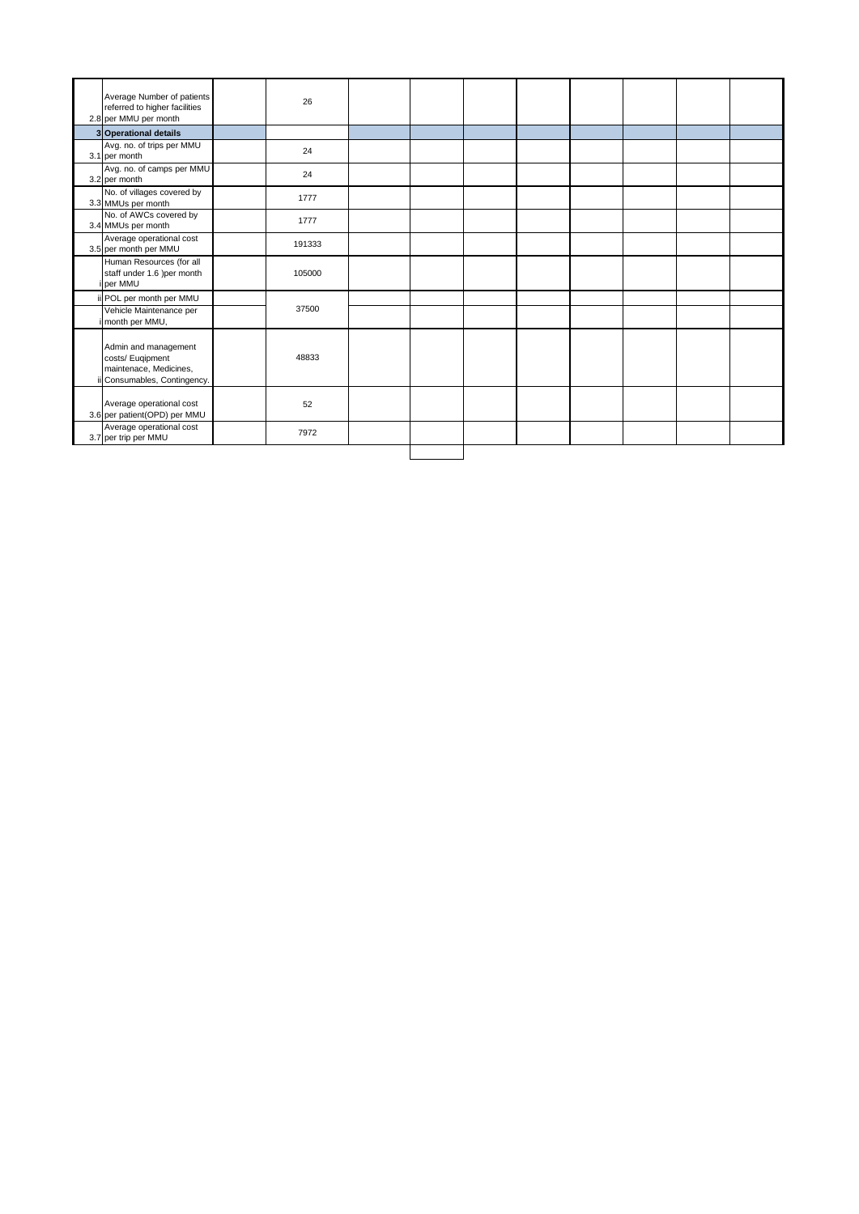| Average Number of patients<br>referred to higher facilities<br>2.8 per MMU per month               | 26     |  |  |  |  |
|----------------------------------------------------------------------------------------------------|--------|--|--|--|--|
| 3 Operational details                                                                              |        |  |  |  |  |
| Avg. no. of trips per MMU<br>3.1 per month                                                         | 24     |  |  |  |  |
| Avg. no. of camps per MMU<br>3.2 per month                                                         | 24     |  |  |  |  |
| No. of villages covered by<br>3.3 MMUs per month                                                   | 1777   |  |  |  |  |
| No. of AWCs covered by<br>3.4 MMUs per month                                                       | 1777   |  |  |  |  |
| Average operational cost<br>3.5 per month per MMU                                                  | 191333 |  |  |  |  |
| Human Resources (for all<br>staff under 1.6 )per month<br>i per MMU                                | 105000 |  |  |  |  |
| ii POL per month per MMU                                                                           |        |  |  |  |  |
| Vehicle Maintenance per<br>i month per MMU,                                                        | 37500  |  |  |  |  |
| Admin and management<br>costs/ Euqipment<br>maintenace, Medicines,<br>ii Consumables, Contingency. | 48833  |  |  |  |  |
| Average operational cost<br>3.6 per patient(OPD) per MMU                                           | 52     |  |  |  |  |
| Average operational cost<br>3.7 per trip per MMU                                                   | 7972   |  |  |  |  |
|                                                                                                    |        |  |  |  |  |